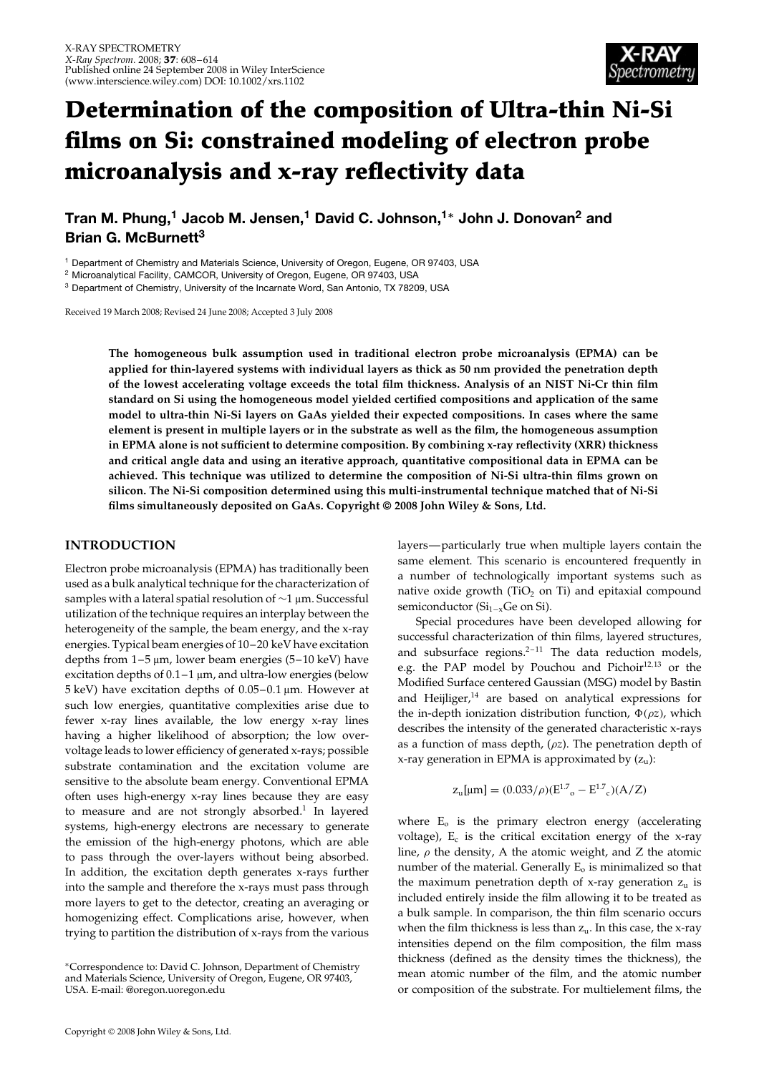

# **Determination of the composition of Ultra-thin Ni-Si films on Si: constrained modeling of electron probe microanalysis and x-ray reflectivity data**

**Tran M. Phung,1 Jacob M. Jensen,<sup>1</sup> David C. Johnson,1***<sup>∗</sup>* **John J. Donovan<sup>2</sup> and Brian G. McBurnett3**

<sup>1</sup> Department of Chemistry and Materials Science, University of Oregon, Eugene, OR 97403, USA

<sup>2</sup> Microanalytical Facility, CAMCOR, University of Oregon, Eugene, OR 97403, USA

<sup>3</sup> Department of Chemistry, University of the Incarnate Word, San Antonio, TX 78209, USA

Received 19 March 2008; Revised 24 June 2008; Accepted 3 July 2008

**The homogeneous bulk assumption used in traditional electron probe microanalysis (EPMA) can be applied for thin-layered systems with individual layers as thick as 50 nm provided the penetration depth of the lowest accelerating voltage exceeds the total film thickness. Analysis of an NIST Ni-Cr thin film standard on Si using the homogeneous model yielded certified compositions and application of the same model to ultra-thin Ni-Si layers on GaAs yielded their expected compositions. In cases where the same element is present in multiple layers or in the substrate as well as the film, the homogeneous assumption in EPMA alone is not sufficient to determine composition. By combining x-ray reflectivity (XRR) thickness and critical angle data and using an iterative approach, quantitative compositional data in EPMA can be achieved. This technique was utilized to determine the composition of Ni-Si ultra-thin films grown on silicon. The Ni-Si composition determined using this multi-instrumental technique matched that of Ni-Si films simultaneously deposited on GaAs. Copyright 2008 John Wiley & Sons, Ltd.**

## **INTRODUCTION**

Electron probe microanalysis (EPMA) has traditionally been used as a bulk analytical technique for the characterization of samples with a lateral spatial resolution of  $\sim$ 1 µm. Successful utilization of the technique requires an interplay between the heterogeneity of the sample, the beam energy, and the x-ray energies. Typical beam energies of 10–20 keV have excitation depths from 1–5 µm, lower beam energies (5–10 keV) have excitation depths of 0.1–1 µm, and ultra-low energies (below 5 keV) have excitation depths of 0.05–0.1 µm. However at such low energies, quantitative complexities arise due to fewer x-ray lines available, the low energy x-ray lines having a higher likelihood of absorption; the low overvoltage leads to lower efficiency of generated x-rays; possible substrate contamination and the excitation volume are sensitive to the absolute beam energy. Conventional EPMA often uses high-energy x-ray lines because they are easy to measure and are not strongly absorbed.<sup>1</sup> In layered systems, high-energy electrons are necessary to generate the emission of the high-energy photons, which are able to pass through the over-layers without being absorbed. In addition, the excitation depth generates x-rays further into the sample and therefore the x-rays must pass through more layers to get to the detector, creating an averaging or homogenizing effect. Complications arise, however, when trying to partition the distribution of x-rays from the various layers—particularly true when multiple layers contain the same element. This scenario is encountered frequently in a number of technologically important systems such as native oxide growth (TiO<sub>2</sub> on Ti) and epitaxial compound semiconductor ( $Si<sub>1-x</sub>Ge$  on Si).

Special procedures have been developed allowing for successful characterization of thin films, layered structures, and subsurface regions. $2-11$  The data reduction models, e.g. the PAP model by Pouchou and Pichoir<sup>12,13</sup> or the Modified Surface centered Gaussian (MSG) model by Bastin and Heijliger, $14$  are based on analytical expressions for the in-depth ionization distribution function,  $\Phi(\rho z)$ , which describes the intensity of the generated characteristic x-rays as a function of mass depth,  $(\rho z)$ . The penetration depth of x-ray generation in EPMA is approximated by  $(z<sub>u</sub>)$ :

$$
z_u[\mu m] = (0.033/\rho)(E^{1.7}{}_{o} - E^{1.7}{}_{c})(A/Z)
$$

where  $E_0$  is the primary electron energy (accelerating voltage),  $E_c$  is the critical excitation energy of the x-ray line,  $\rho$  the density, A the atomic weight, and Z the atomic number of the material. Generally  $E_0$  is minimalized so that the maximum penetration depth of x-ray generation  $z<sub>u</sub>$  is included entirely inside the film allowing it to be treated as a bulk sample. In comparison, the thin film scenario occurs when the film thickness is less than  $z<sub>u</sub>$ . In this case, the x-ray intensities depend on the film composition, the film mass thickness (defined as the density times the thickness), the mean atomic number of the film, and the atomic number or composition of the substrate. For multielement films, the

<sup>Ł</sup>Correspondence to: David C. Johnson, Department of Chemistry and Materials Science, University of Oregon, Eugene, OR 97403, USA. E-mail: @oregon.uoregon.edu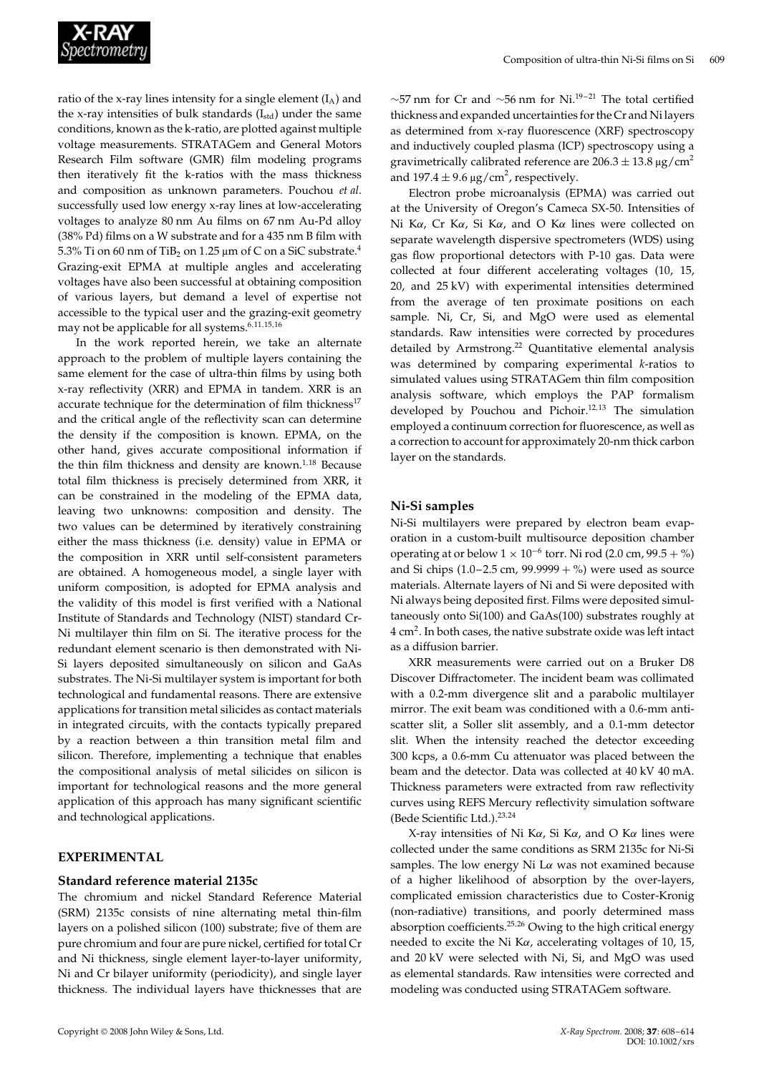

ratio of the x-ray lines intensity for a single element  $(I_A)$  and the x-ray intensities of bulk standards  $(I<sub>std</sub>)$  under the same conditions, known as the k-ratio, are plotted against multiple voltage measurements. STRATAGem and General Motors Research Film software (GMR) film modeling programs then iteratively fit the k-ratios with the mass thickness and composition as unknown parameters. Pouchou *et al*. successfully used low energy x-ray lines at low-accelerating voltages to analyze 80 nm Au films on 67 nm Au-Pd alloy (38% Pd) films on a W substrate and for a 435 nm B film with 5.3% Ti on 60 nm of TiB<sub>2</sub> on 1.25  $\mu$ m of C on a SiC substrate.<sup>4</sup> Grazing-exit EPMA at multiple angles and accelerating voltages have also been successful at obtaining composition of various layers, but demand a level of expertise not accessible to the typical user and the grazing-exit geometry may not be applicable for all systems.<sup>6,11,15,16</sup>

In the work reported herein, we take an alternate approach to the problem of multiple layers containing the same element for the case of ultra-thin films by using both x-ray reflectivity (XRR) and EPMA in tandem. XRR is an accurate technique for the determination of film thickness $17$ and the critical angle of the reflectivity scan can determine the density if the composition is known. EPMA, on the other hand, gives accurate compositional information if the thin film thickness and density are known. $1,18$  Because total film thickness is precisely determined from XRR, it can be constrained in the modeling of the EPMA data, leaving two unknowns: composition and density. The two values can be determined by iteratively constraining either the mass thickness (i.e. density) value in EPMA or the composition in XRR until self-consistent parameters are obtained. A homogeneous model, a single layer with uniform composition, is adopted for EPMA analysis and the validity of this model is first verified with a National Institute of Standards and Technology (NIST) standard Cr-Ni multilayer thin film on Si. The iterative process for the redundant element scenario is then demonstrated with Ni-Si layers deposited simultaneously on silicon and GaAs substrates. The Ni-Si multilayer system is important for both technological and fundamental reasons. There are extensive applications for transition metal silicides as contact materials in integrated circuits, with the contacts typically prepared by a reaction between a thin transition metal film and silicon. Therefore, implementing a technique that enables the compositional analysis of metal silicides on silicon is important for technological reasons and the more general application of this approach has many significant scientific and technological applications.

# **EXPERIMENTAL**

#### **Standard reference material 2135c**

The chromium and nickel Standard Reference Material (SRM) 2135c consists of nine alternating metal thin-film layers on a polished silicon (100) substrate; five of them are pure chromium and four are pure nickel, certified for total Cr and Ni thickness, single element layer-to-layer uniformity, Ni and Cr bilayer uniformity (periodicity), and single layer thickness. The individual layers have thicknesses that are  $\sim$ 57 nm for Cr and  $\sim$ 56 nm for Ni.<sup>19-21</sup> The total certified thickness and expanded uncertainties for the Cr and Ni layers as determined from x-ray fluorescence (XRF) spectroscopy and inductively coupled plasma (ICP) spectroscopy using a gravimetrically calibrated reference are  $206.3 \pm 13.8 \,\mu$ g/cm<sup>2</sup> and 197.4  $\pm$  9.6 µg/cm<sup>2</sup>, respectively.

Electron probe microanalysis (EPMA) was carried out at the University of Oregon's Cameca SX-50. Intensities of Ni K $\alpha$ , Cr K $\alpha$ , Si K $\alpha$ , and O K $\alpha$  lines were collected on separate wavelength dispersive spectrometers (WDS) using gas flow proportional detectors with P-10 gas. Data were collected at four different accelerating voltages (10, 15, 20, and 25 kV) with experimental intensities determined from the average of ten proximate positions on each sample. Ni, Cr, Si, and MgO were used as elemental standards. Raw intensities were corrected by procedures detailed by Armstrong.<sup>22</sup> Quantitative elemental analysis was determined by comparing experimental *k*-ratios to simulated values using STRATAGem thin film composition analysis software, which employs the PAP formalism developed by Pouchou and Pichoir.<sup>12,13</sup> The simulation employed a continuum correction for fluorescence, as well as a correction to account for approximately 20-nm thick carbon layer on the standards.

#### **Ni-Si samples**

Ni-Si multilayers were prepared by electron beam evaporation in a custom-built multisource deposition chamber operating at or below  $1 \times 10^{-6}$  torr. Ni rod (2.0 cm, 99.5 + %) and Si chips  $(1.0-2.5 \text{ cm}, 99.9999 + %$  were used as source materials. Alternate layers of Ni and Si were deposited with Ni always being deposited first. Films were deposited simultaneously onto Si(100) and GaAs(100) substrates roughly at 4 cm2. In both cases, the native substrate oxide was left intact as a diffusion barrier.

XRR measurements were carried out on a Bruker D8 Discover Diffractometer. The incident beam was collimated with a 0.2-mm divergence slit and a parabolic multilayer mirror. The exit beam was conditioned with a 0.6-mm antiscatter slit, a Soller slit assembly, and a 0.1-mm detector slit. When the intensity reached the detector exceeding 300 kcps, a 0.6-mm Cu attenuator was placed between the beam and the detector. Data was collected at 40 kV 40 mA. Thickness parameters were extracted from raw reflectivity curves using REFS Mercury reflectivity simulation software (Bede Scientific Ltd.).23,<sup>24</sup>

X-ray intensities of Ni K $\alpha$ , Si K $\alpha$ , and O K $\alpha$  lines were collected under the same conditions as SRM 2135c for Ni-Si samples. The low energy Ni  $L\alpha$  was not examined because of a higher likelihood of absorption by the over-layers, complicated emission characteristics due to Coster-Kronig (non-radiative) transitions, and poorly determined mass absorption coefficients.25,<sup>26</sup> Owing to the high critical energy needed to excite the Ni K $\alpha$ , accelerating voltages of 10, 15, and 20 kV were selected with Ni, Si, and MgO was used as elemental standards. Raw intensities were corrected and modeling was conducted using STRATAGem software.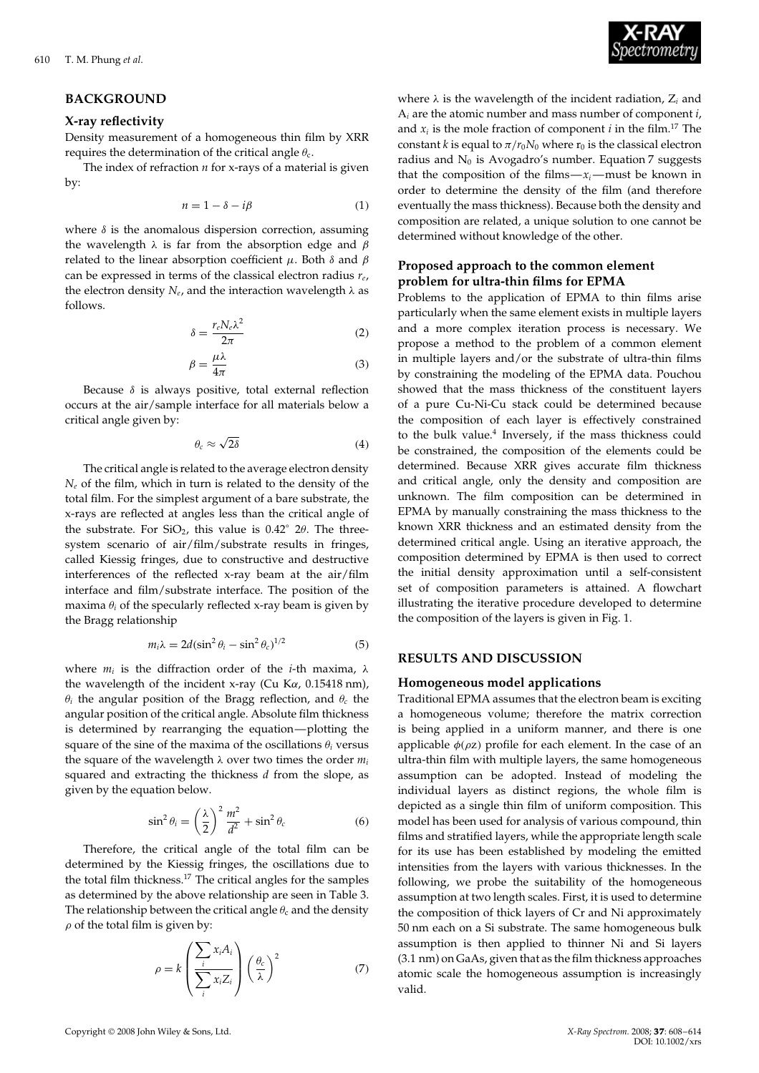# **BACKGROUND**

#### **X-ray reflectivity**

Density measurement of a homogeneous thin film by XRR requires the determination of the critical angle  $\theta_c$ .

The index of refraction *n* for x-rays of a material is given by:

$$
n = 1 - \delta - i\beta \tag{1}
$$

where  $\delta$  is the anomalous dispersion correction, assuming the wavelength  $\lambda$  is far from the absorption edge and  $\beta$ related to the linear absorption coefficient  $\mu$ . Both  $\delta$  and  $\beta$ can be expressed in terms of the classical electron radius *re*, the electron density  $N_e$ , and the interaction wavelength  $\lambda$  as follows.

$$
\delta = \frac{r_e N_e \lambda^2}{2\pi} \tag{2}
$$

$$
\beta = \frac{\mu \lambda}{4\pi} \tag{3}
$$

Because  $\delta$  is always positive, total external reflection occurs at the air/sample interface for all materials below a critical angle given by:

$$
\theta_c \approx \sqrt{2\delta} \tag{4}
$$

The critical angle is related to the average electron density *Ne* of the film, which in turn is related to the density of the total film. For the simplest argument of a bare substrate, the x-rays are reflected at angles less than the critical angle of the substrate. For  $SiO<sub>2</sub>$ , this value is 0.42° 2 $\theta$ . The threesystem scenario of air/film/substrate results in fringes, called Kiessig fringes, due to constructive and destructive interferences of the reflected x-ray beam at the air/film interface and film/substrate interface. The position of the maxima  $\theta_i$  of the specularly reflected x-ray beam is given by the Bragg relationship

$$
m_i \lambda = 2d(\sin^2 \theta_i - \sin^2 \theta_c)^{1/2}
$$
 (5)

where  $m_i$  is the diffraction order of the *i*-th maxima,  $\lambda$ the wavelength of the incident x-ray (Cu K $\alpha$ , 0.15418 nm),  $\theta_i$  the angular position of the Bragg reflection, and  $\theta_c$  the angular position of the critical angle. Absolute film thickness is determined by rearranging the equation—plotting the square of the sine of the maxima of the oscillations  $\theta_i$  versus the square of the wavelength  $\lambda$  over two times the order  $m_i$ squared and extracting the thickness *d* from the slope, as given by the equation below.

$$
\sin^2 \theta_i = \left(\frac{\lambda}{2}\right)^2 \frac{m^2}{d^2} + \sin^2 \theta_c \tag{6}
$$

Therefore, the critical angle of the total film can be determined by the Kiessig fringes, the oscillations due to the total film thickness.<sup>17</sup> The critical angles for the samples as determined by the above relationship are seen in Table 3. The relationship between the critical angle  $\theta_c$  and the density  $\rho$  of the total film is given by:

$$
\rho = k \left( \frac{\sum_{i} x_{i} A_{i}}{\sum_{i} x_{i} Z_{i}} \right) \left( \frac{\theta_{c}}{\lambda} \right)^{2}
$$
(7)



where  $\lambda$  is the wavelength of the incident radiation,  $Z_i$  and A*<sup>i</sup>* are the atomic number and mass number of component *i*, and  $x_i$  is the mole fraction of component  $i$  in the film.<sup>17</sup> The constant *k* is equal to  $\pi/r_0N_0$  where  $r_0$  is the classical electron radius and  $N_0$  is Avogadro's number. Equation 7 suggests that the composition of the films— $x_i$ —must be known in order to determine the density of the film (and therefore eventually the mass thickness). Because both the density and composition are related, a unique solution to one cannot be determined without knowledge of the other.

# **Proposed approach to the common element problem for ultra-thin films for EPMA**

Problems to the application of EPMA to thin films arise particularly when the same element exists in multiple layers and a more complex iteration process is necessary. We propose a method to the problem of a common element in multiple layers and/or the substrate of ultra-thin films by constraining the modeling of the EPMA data. Pouchou showed that the mass thickness of the constituent layers of a pure Cu-Ni-Cu stack could be determined because the composition of each layer is effectively constrained to the bulk value.<sup>4</sup> Inversely, if the mass thickness could be constrained, the composition of the elements could be determined. Because XRR gives accurate film thickness and critical angle, only the density and composition are unknown. The film composition can be determined in EPMA by manually constraining the mass thickness to the known XRR thickness and an estimated density from the determined critical angle. Using an iterative approach, the composition determined by EPMA is then used to correct the initial density approximation until a self-consistent set of composition parameters is attained. A flowchart illustrating the iterative procedure developed to determine the composition of the layers is given in Fig. 1.

## **RESULTS AND DISCUSSION**

#### **Homogeneous model applications**

Traditional EPMA assumes that the electron beam is exciting a homogeneous volume; therefore the matrix correction is being applied in a uniform manner, and there is one applicable  $\phi(\rho z)$  profile for each element. In the case of an ultra-thin film with multiple layers, the same homogeneous assumption can be adopted. Instead of modeling the individual layers as distinct regions, the whole film is depicted as a single thin film of uniform composition. This model has been used for analysis of various compound, thin films and stratified layers, while the appropriate length scale for its use has been established by modeling the emitted intensities from the layers with various thicknesses. In the following, we probe the suitability of the homogeneous assumption at two length scales. First, it is used to determine the composition of thick layers of Cr and Ni approximately 50 nm each on a Si substrate. The same homogeneous bulk assumption is then applied to thinner Ni and Si layers (3.1 nm) on GaAs, given that as the film thickness approaches atomic scale the homogeneous assumption is increasingly valid.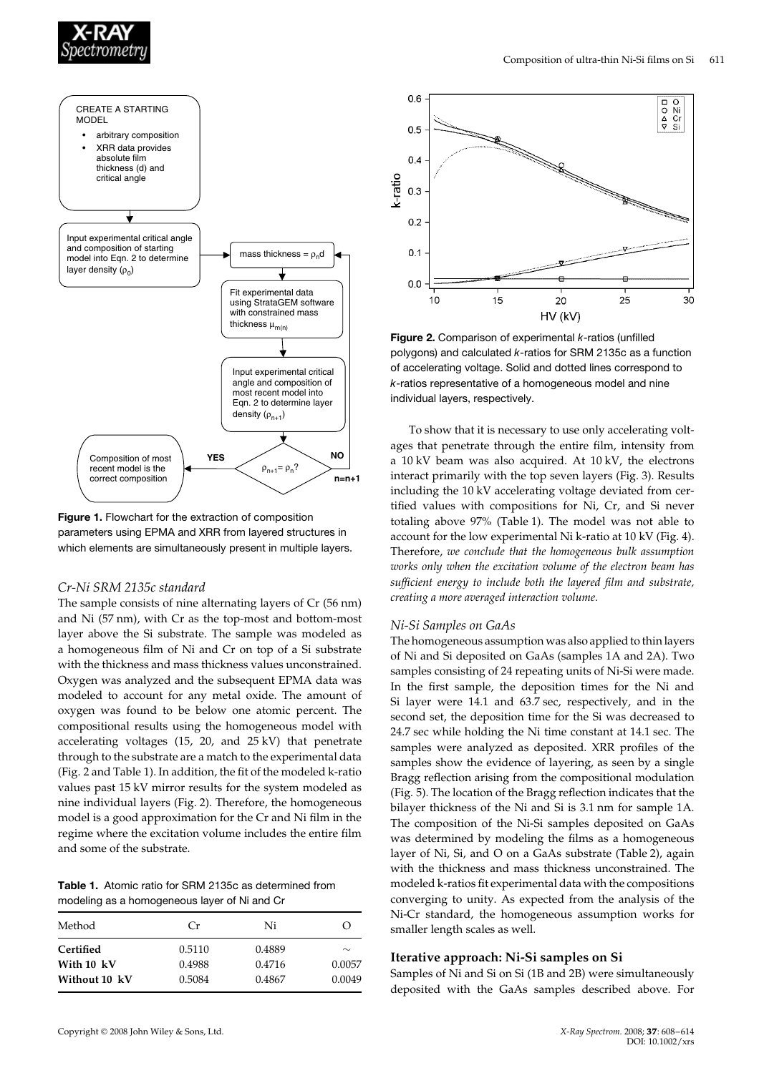



**Figure 1.** Flowchart for the extraction of composition parameters using EPMA and XRR from layered structures in which elements are simultaneously present in multiple layers.

# *Cr-Ni SRM 2135c standard*

The sample consists of nine alternating layers of Cr (56 nm) and Ni (57 nm), with Cr as the top-most and bottom-most layer above the Si substrate. The sample was modeled as a homogeneous film of Ni and Cr on top of a Si substrate with the thickness and mass thickness values unconstrained. Oxygen was analyzed and the subsequent EPMA data was modeled to account for any metal oxide. The amount of oxygen was found to be below one atomic percent. The compositional results using the homogeneous model with accelerating voltages (15, 20, and 25 kV) that penetrate through to the substrate are a match to the experimental data (Fig. 2 and Table 1). In addition, the fit of the modeled k-ratio values past 15 kV mirror results for the system modeled as nine individual layers (Fig. 2). Therefore, the homogeneous model is a good approximation for the Cr and Ni film in the regime where the excitation volume includes the entire film and some of the substrate.

**Table 1.** Atomic ratio for SRM 2135c as determined from modeling as a homogeneous layer of Ni and Cr

| Method        | C'r    | Ni     | O      |
|---------------|--------|--------|--------|
| Certified     | 0.5110 | 0.4889 | $\sim$ |
| With 10 kV    | 0.4988 | 0.4716 | 0.0057 |
| Without 10 kV | 0.5084 | 0.4867 | 0.0049 |



**Figure 2.** Comparison of experimental *k*-ratios (unfilled polygons) and calculated *k*-ratios for SRM 2135c as a function of accelerating voltage. Solid and dotted lines correspond to *k*-ratios representative of a homogeneous model and nine individual layers, respectively.

To show that it is necessary to use only accelerating voltages that penetrate through the entire film, intensity from a 10 kV beam was also acquired. At 10 kV, the electrons interact primarily with the top seven layers (Fig. 3). Results including the 10 kV accelerating voltage deviated from certified values with compositions for Ni, Cr, and Si never totaling above 97% (Table 1). The model was not able to account for the low experimental Ni k-ratio at 10 kV (Fig. 4). Therefore, *we conclude that the homogeneous bulk assumption works only when the excitation volume of the electron beam has sufficient energy to include both the layered film and substrate, creating a more averaged interaction volume.*

## *Ni-Si Samples on GaAs*

The homogeneous assumption was also applied to thin layers of Ni and Si deposited on GaAs (samples 1A and 2A). Two samples consisting of 24 repeating units of Ni-Si were made. In the first sample, the deposition times for the Ni and Si layer were 14.1 and 63.7 sec, respectively, and in the second set, the deposition time for the Si was decreased to 24.7 sec while holding the Ni time constant at 14.1 sec. The samples were analyzed as deposited. XRR profiles of the samples show the evidence of layering, as seen by a single Bragg reflection arising from the compositional modulation (Fig. 5). The location of the Bragg reflection indicates that the bilayer thickness of the Ni and Si is 3.1 nm for sample 1A. The composition of the Ni-Si samples deposited on GaAs was determined by modeling the films as a homogeneous layer of Ni, Si, and O on a GaAs substrate (Table 2), again with the thickness and mass thickness unconstrained. The modeled k-ratios fit experimental data with the compositions converging to unity. As expected from the analysis of the Ni-Cr standard, the homogeneous assumption works for smaller length scales as well.

## **Iterative approach: Ni-Si samples on Si**

Samples of Ni and Si on Si (1B and 2B) were simultaneously deposited with the GaAs samples described above. For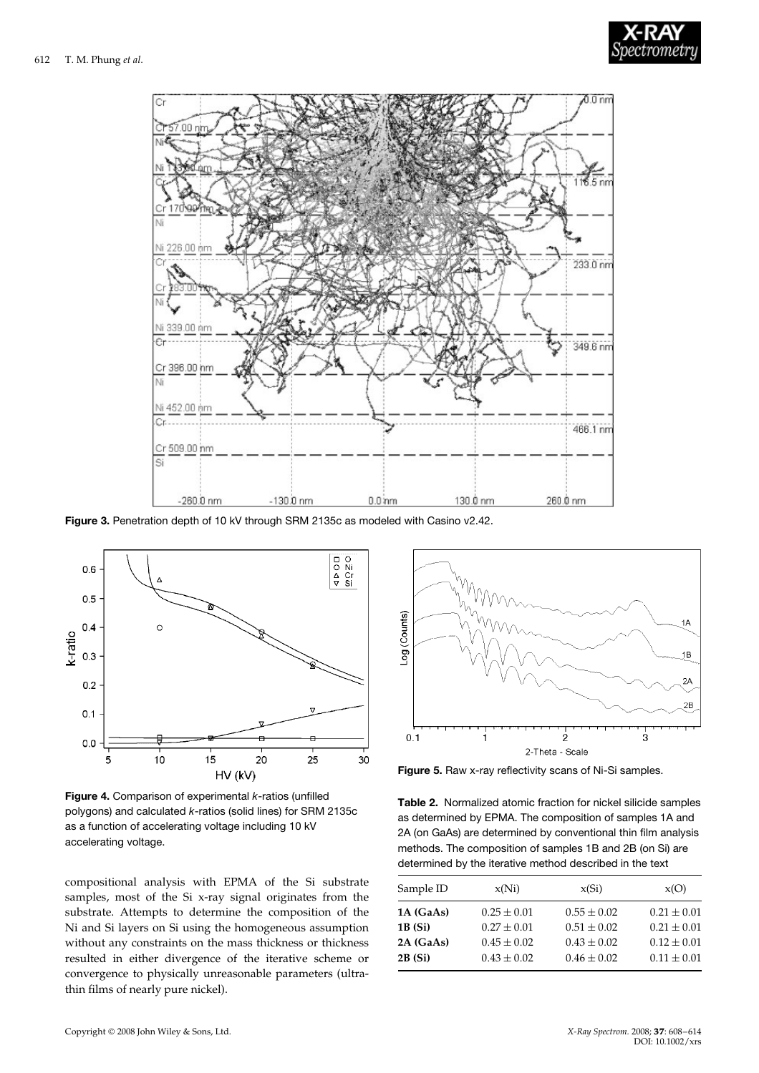



**Figure 3.** Penetration depth of 10 kV through SRM 2135c as modeled with Casino v2.42.



**Figure 4.** Comparison of experimental *k*-ratios (unfilled polygons) and calculated *k*-ratios (solid lines) for SRM 2135c as a function of accelerating voltage including 10 kV accelerating voltage.

compositional analysis with EPMA of the Si substrate samples, most of the Si x-ray signal originates from the substrate. Attempts to determine the composition of the Ni and Si layers on Si using the homogeneous assumption without any constraints on the mass thickness or thickness resulted in either divergence of the iterative scheme or convergence to physically unreasonable parameters (ultrathin films of nearly pure nickel).



**Figure 5.** Raw x-ray reflectivity scans of Ni-Si samples.

**Table 2.** Normalized atomic fraction for nickel silicide samples as determined by EPMA. The composition of samples 1A and 2A (on GaAs) are determined by conventional thin film analysis methods. The composition of samples 1B and 2B (on Si) are determined by the iterative method described in the text

| Sample ID | x(Ni)           | $x(S_i)$        | x(O)            |
|-----------|-----------------|-----------------|-----------------|
| 1A (GaAs) | $0.25 \pm 0.01$ | $0.55 \pm 0.02$ | $0.21 \pm 0.01$ |
| 1B (Si)   | $0.27 \pm 0.01$ | $0.51 \pm 0.02$ | $0.21 \pm 0.01$ |
| 2A (GaAs) | $0.45 \pm 0.02$ | $0.43 \pm 0.02$ | $0.12 \pm 0.01$ |
| 2B(Si)    | $0.43 \pm 0.02$ | $0.46 \pm 0.02$ | $0.11 \pm 0.01$ |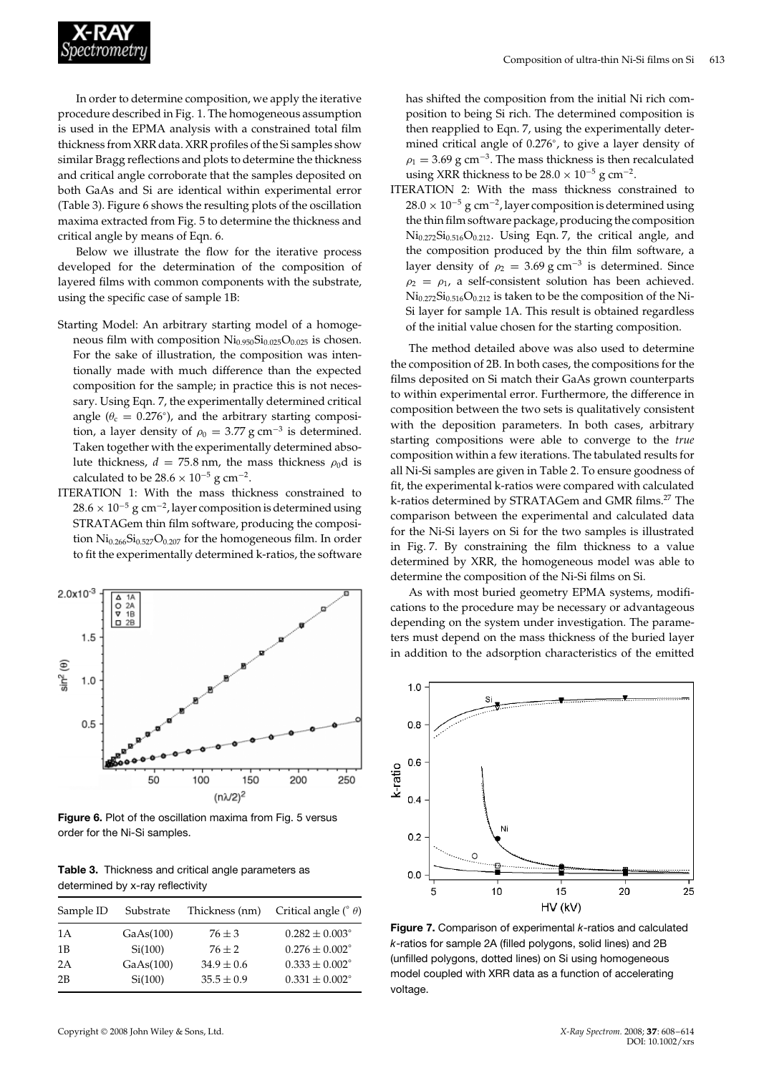

In order to determine composition, we apply the iterative procedure described in Fig. 1. The homogeneous assumption is used in the EPMA analysis with a constrained total film thickness from XRR data. XRR profiles of the Si samples show similar Bragg reflections and plots to determine the thickness and critical angle corroborate that the samples deposited on both GaAs and Si are identical within experimental error (Table 3). Figure 6 shows the resulting plots of the oscillation maxima extracted from Fig. 5 to determine the thickness and critical angle by means of Eqn. 6.

Below we illustrate the flow for the iterative process developed for the determination of the composition of layered films with common components with the substrate, using the specific case of sample 1B:

- Starting Model: An arbitrary starting model of a homogeneous film with composition  $\mathrm{Ni_{0.950}Si_{0.025}O_{0.025}}$  is chosen. For the sake of illustration, the composition was intentionally made with much difference than the expected composition for the sample; in practice this is not necessary. Using Eqn. 7, the experimentally determined critical angle ( $\theta_c = 0.276^{\circ}$ ), and the arbitrary starting composition, a layer density of  $\rho_0 = 3.77$  g cm<sup>-3</sup> is determined. Taken together with the experimentally determined absolute thickness,  $d = 75.8$  nm, the mass thickness  $\rho_0 d$  is calculated to be  $28.6 \times 10^{-5}$  g cm<sup>-2</sup>.
- ITERATION 1: With the mass thickness constrained to  $28.6 \times 10^{-5}$  g cm<sup>-2</sup>, layer composition is determined using STRATAGem thin film software, producing the composition  $\text{Ni}_{0.266}\text{Si}_{0.527}\text{O}_{0.207}$  for the homogeneous film. In order to fit the experimentally determined k-ratios, the software



**Figure 6.** Plot of the oscillation maxima from Fig. 5 versus order for the Ni-Si samples.

**Table 3.** Thickness and critical angle parameters as determined by x-ray reflectivity

| Sample ID | Substrate | Thickness (nm) | Critical angle ( $\degree$ $\theta$ ) |
|-----------|-----------|----------------|---------------------------------------|
| 1A        | GaAs(100) | $76 \pm 3$     | $0.282 \pm 0.003^{\circ}$             |
| 1B        | Si(100)   | $76 + 2$       | $0.276 \pm 0.002^{\circ}$             |
| 2A        | GaAs(100) | $34.9 \pm 0.6$ | $0.333 \pm 0.002^{\circ}$             |
| 2B        | Si(100)   | $35.5 \pm 0.9$ | $0.331 \pm 0.002^{\circ}$             |

has shifted the composition from the initial Ni rich composition to being Si rich. The determined composition is then reapplied to Eqn. 7, using the experimentally determined critical angle of 0.276°, to give a layer density of  $\rho_1 = 3.69$  g cm<sup>-3</sup>. The mass thickness is then recalculated using XRR thickness to be  $28.0 \times 10^{-5}$  g cm<sup>-2</sup>.

ITERATION 2: With the mass thickness constrained to  $28.0 \times 10^{-5}$  g cm<sup>-2</sup>, layer composition is determined using the thin film software package, producing the composition  $Ni<sub>0.272</sub>Si<sub>0.516</sub>O<sub>0.212</sub>$ . Using Eqn. 7, the critical angle, and the composition produced by the thin film software, a layer density of  $\rho_2 = 3.69$  g cm<sup>-3</sup> is determined. Since  $\rho_2 = \rho_1$ , a self-consistent solution has been achieved.  $Ni<sub>0.272</sub>Si<sub>0.516</sub>O<sub>0.212</sub>$  is taken to be the composition of the Ni-Si layer for sample 1A. This result is obtained regardless of the initial value chosen for the starting composition.

The method detailed above was also used to determine the composition of 2B. In both cases, the compositions for the films deposited on Si match their GaAs grown counterparts to within experimental error. Furthermore, the difference in composition between the two sets is qualitatively consistent with the deposition parameters. In both cases, arbitrary starting compositions were able to converge to the *true* composition within a few iterations. The tabulated results for all Ni-Si samples are given in Table 2. To ensure goodness of fit, the experimental k-ratios were compared with calculated k-ratios determined by STRATAGem and GMR films.27 The comparison between the experimental and calculated data for the Ni-Si layers on Si for the two samples is illustrated in Fig. 7. By constraining the film thickness to a value determined by XRR, the homogeneous model was able to determine the composition of the Ni-Si films on Si.

As with most buried geometry EPMA systems, modifications to the procedure may be necessary or advantageous depending on the system under investigation. The parameters must depend on the mass thickness of the buried layer in addition to the adsorption characteristics of the emitted



**Figure 7.** Comparison of experimental *k*-ratios and calculated *k*-ratios for sample 2A (filled polygons, solid lines) and 2B (unfilled polygons, dotted lines) on Si using homogeneous model coupled with XRR data as a function of accelerating voltage.